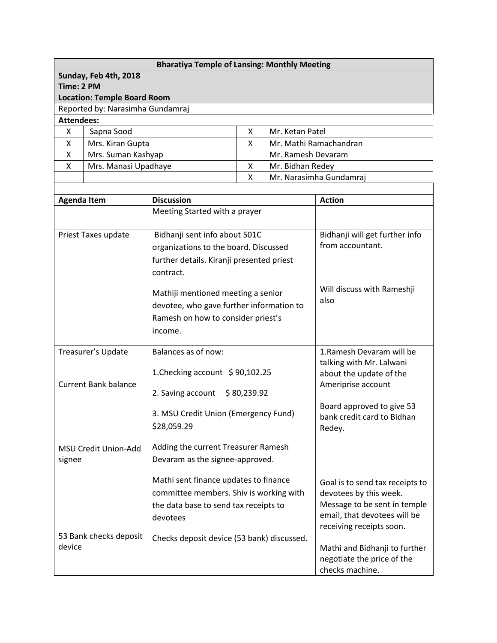| <b>Bharatiya Temple of Lansing: Monthly Meeting</b> |                                    |   |                         |  |  |
|-----------------------------------------------------|------------------------------------|---|-------------------------|--|--|
|                                                     | Sunday, Feb 4th, 2018              |   |                         |  |  |
| Time: 2 PM                                          |                                    |   |                         |  |  |
|                                                     | <b>Location: Temple Board Room</b> |   |                         |  |  |
|                                                     | Reported by: Narasimha Gundamraj   |   |                         |  |  |
| <b>Attendees:</b>                                   |                                    |   |                         |  |  |
| x                                                   | Sapna Sood                         | x | Mr. Ketan Patel         |  |  |
| x                                                   | Mrs. Kiran Gupta                   | X | Mr. Mathi Ramachandran  |  |  |
| X                                                   | Mrs. Suman Kashyap                 |   | Mr. Ramesh Devaram      |  |  |
| X                                                   | Mrs. Manasi Upadhaye               | x | Mr. Bidhan Redey        |  |  |
|                                                     |                                    | x | Mr. Narasimha Gundamraj |  |  |
|                                                     |                                    |   |                         |  |  |

| <b>Agenda Item</b>               | <b>Discussion</b>                                                                                                                     | <b>Action</b>                                                                                                                                         |
|----------------------------------|---------------------------------------------------------------------------------------------------------------------------------------|-------------------------------------------------------------------------------------------------------------------------------------------------------|
|                                  | Meeting Started with a prayer                                                                                                         |                                                                                                                                                       |
| Priest Taxes update              | Bidhanji sent info about 501C<br>organizations to the board. Discussed<br>further details. Kiranji presented priest<br>contract.      | Bidhanji will get further info<br>from accountant.                                                                                                    |
|                                  | Mathiji mentioned meeting a senior<br>devotee, who gave further information to<br>Ramesh on how to consider priest's<br>income.       | Will discuss with Rameshji<br>also                                                                                                                    |
| Treasurer's Update               | Balances as of now:                                                                                                                   | 1. Ramesh Devaram will be<br>talking with Mr. Lalwani                                                                                                 |
| <b>Current Bank balance</b>      | 1. Checking account \$90,102.25<br>2. Saving account<br>\$80,239.92                                                                   | about the update of the<br>Ameriprise account                                                                                                         |
|                                  | 3. MSU Credit Union (Emergency Fund)<br>\$28,059.29                                                                                   | Board approved to give 53<br>bank credit card to Bidhan<br>Redey.                                                                                     |
| MSU Credit Union-Add<br>signee   | Adding the current Treasurer Ramesh<br>Devaram as the signee-approved.                                                                |                                                                                                                                                       |
|                                  | Mathi sent finance updates to finance<br>committee members. Shiv is working with<br>the data base to send tax receipts to<br>devotees | Goal is to send tax receipts to<br>devotees by this week.<br>Message to be sent in temple<br>email, that devotees will be<br>receiving receipts soon. |
| 53 Bank checks deposit<br>device | Checks deposit device (53 bank) discussed.                                                                                            | Mathi and Bidhanji to further<br>negotiate the price of the<br>checks machine.                                                                        |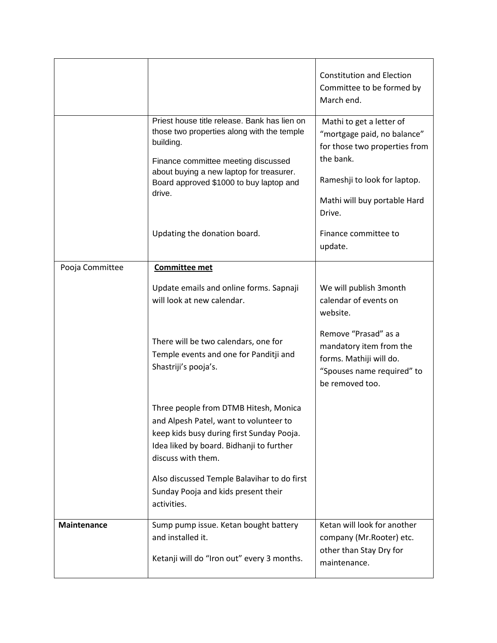|                    |                                                                                                                                                                                                                                                                                      | <b>Constitution and Election</b><br>Committee to be formed by<br>March end.                                                                                                                |
|--------------------|--------------------------------------------------------------------------------------------------------------------------------------------------------------------------------------------------------------------------------------------------------------------------------------|--------------------------------------------------------------------------------------------------------------------------------------------------------------------------------------------|
|                    | Priest house title release. Bank has lien on<br>those two properties along with the temple<br>building.<br>Finance committee meeting discussed<br>about buying a new laptop for treasurer.<br>Board approved \$1000 to buy laptop and<br>drive.                                      | Mathi to get a letter of<br>"mortgage paid, no balance"<br>for those two properties from<br>the bank.<br>Rameshji to look for laptop.<br>Mathi will buy portable Hard<br>Drive.            |
|                    | Updating the donation board.                                                                                                                                                                                                                                                         | Finance committee to<br>update.                                                                                                                                                            |
| Pooja Committee    | <b>Committee met</b><br>Update emails and online forms. Sapnaji<br>will look at new calendar.<br>There will be two calendars, one for<br>Temple events and one for Panditji and<br>Shastriji's pooja's.                                                                              | We will publish 3month<br>calendar of events on<br>website.<br>Remove "Prasad" as a<br>mandatory item from the<br>forms. Mathiji will do.<br>"Spouses name required" to<br>be removed too. |
|                    | Three people from DTMB Hitesh, Monica<br>and Alpesh Patel, want to volunteer to<br>keep kids busy during first Sunday Pooja.<br>Idea liked by board. Bidhanji to further<br>discuss with them.<br>Also discussed Temple Balavihar to do first<br>Sunday Pooja and kids present their |                                                                                                                                                                                            |
| <b>Maintenance</b> | Sump pump issue. Ketan bought battery<br>and installed it.<br>Ketanji will do "Iron out" every 3 months.                                                                                                                                                                             | Ketan will look for another<br>company (Mr.Rooter) etc.<br>other than Stay Dry for                                                                                                         |
|                    | activities.                                                                                                                                                                                                                                                                          | maintenance.                                                                                                                                                                               |